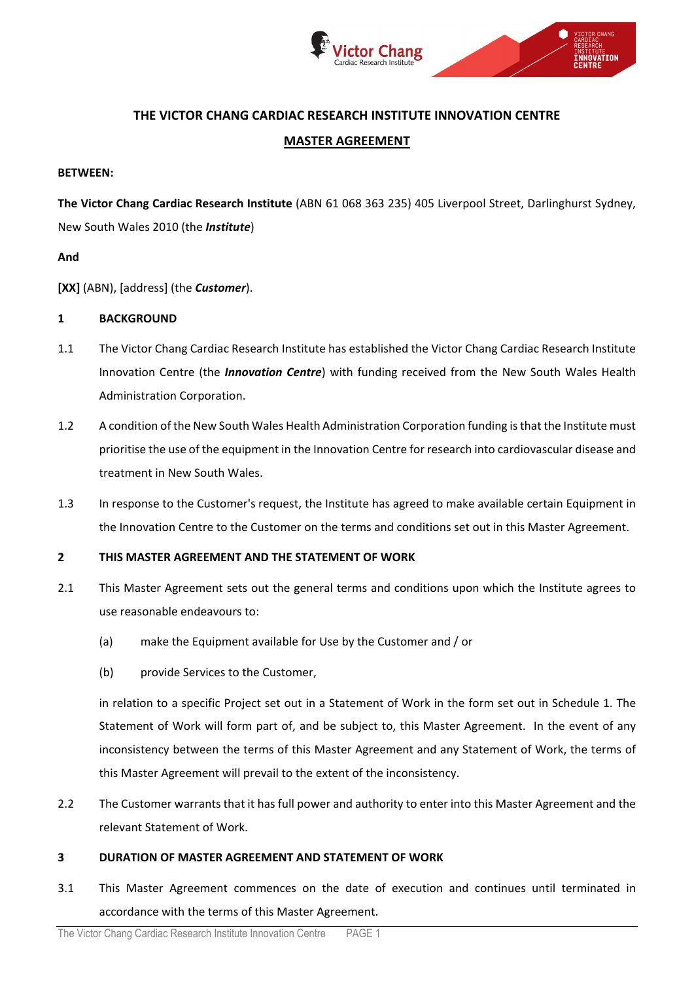

# **THE VICTOR CHANG CARDIAC RESEARCH INSTITUTE INNOVATION CENTRE**

# **MASTER AGREEMENT**

## **BETWEEN:**

**The Victor Chang Cardiac Research Institute** (ABN 61 068 363 235) 405 Liverpool Street, Darlinghurst Sydney, New South Wales 2010 (the *Institute*)

# **And**

**[XX]** (ABN), [address] (the *Customer*).

# **1 BACKGROUND**

- 1.1 The Victor Chang Cardiac Research Institute has established the Victor Chang Cardiac Research Institute Innovation Centre (the *Innovation Centre*) with funding received from the New South Wales Health Administration Corporation.
- 1.2 A condition of the New South Wales Health Administration Corporation funding is that the Institute must prioritise the use of the equipment in the Innovation Centre for research into cardiovascular disease and treatment in New South Wales.
- 1.3 In response to the Customer's request, the Institute has agreed to make available certain Equipment in the Innovation Centre to the Customer on the terms and conditions set out in this Master Agreement.

# **2 THIS MASTER AGREEMENT AND THE STATEMENT OF WORK**

- 2.1 This Master Agreement sets out the general terms and conditions upon which the Institute agrees to use reasonable endeavours to:
	- (a) make the Equipment available for Use by the Customer and / or
	- (b) provide Services to the Customer,

in relation to a specific Project set out in a Statement of Work in the form set out in Schedule 1. The Statement of Work will form part of, and be subject to, this Master Agreement. In the event of any inconsistency between the terms of this Master Agreement and any Statement of Work, the terms of this Master Agreement will prevail to the extent of the inconsistency.

2.2 The Customer warrants that it has full power and authority to enter into this Master Agreement and the relevant Statement of Work.

## **3 DURATION OF MASTER AGREEMENT AND STATEMENT OF WORK**

3.1 This Master Agreement commences on the date of execution and continues until terminated in accordance with the terms of this Master Agreement.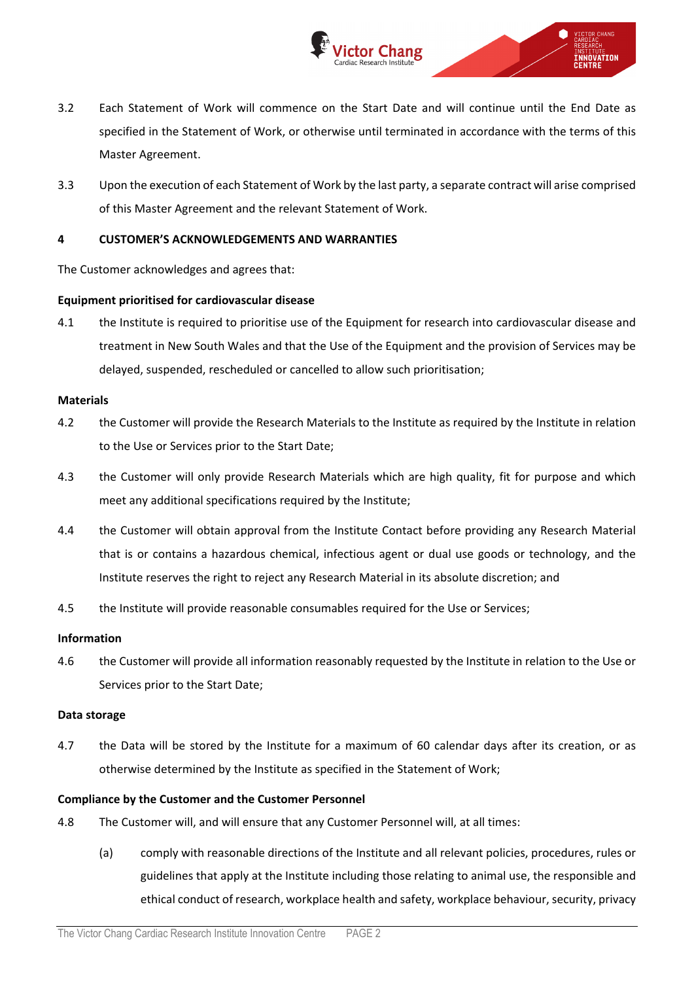

- 3.2 Each Statement of Work will commence on the Start Date and will continue until the End Date as specified in the Statement of Work, or otherwise until terminated in accordance with the terms of this Master Agreement.
- 3.3 Upon the execution of each Statement of Work by the last party, a separate contract will arise comprised of this Master Agreement and the relevant Statement of Work.

## **4 CUSTOMER'S ACKNOWLEDGEMENTS AND WARRANTIES**

The Customer acknowledges and agrees that:

## **Equipment prioritised for cardiovascular disease**

4.1 the Institute is required to prioritise use of the Equipment for research into cardiovascular disease and treatment in New South Wales and that the Use of the Equipment and the provision of Services may be delayed, suspended, rescheduled or cancelled to allow such prioritisation;

#### **Materials**

- 4.2 the Customer will provide the Research Materials to the Institute as required by the Institute in relation to the Use or Services prior to the Start Date;
- 4.3 the Customer will only provide Research Materials which are high quality, fit for purpose and which meet any additional specifications required by the Institute;
- 4.4 the Customer will obtain approval from the Institute Contact before providing any Research Material that is or contains a hazardous chemical, infectious agent or dual use goods or technology, and the Institute reserves the right to reject any Research Material in its absolute discretion; and
- 4.5 the Institute will provide reasonable consumables required for the Use or Services;

## **Information**

4.6 the Customer will provide all information reasonably requested by the Institute in relation to the Use or Services prior to the Start Date;

## **Data storage**

4.7 the Data will be stored by the Institute for a maximum of 60 calendar days after its creation, or as otherwise determined by the Institute as specified in the Statement of Work;

## **Compliance by the Customer and the Customer Personnel**

- 4.8 The Customer will, and will ensure that any Customer Personnel will, at all times:
	- (a) comply with reasonable directions of the Institute and all relevant policies, procedures, rules or guidelines that apply at the Institute including those relating to animal use, the responsible and ethical conduct of research, workplace health and safety, workplace behaviour, security, privacy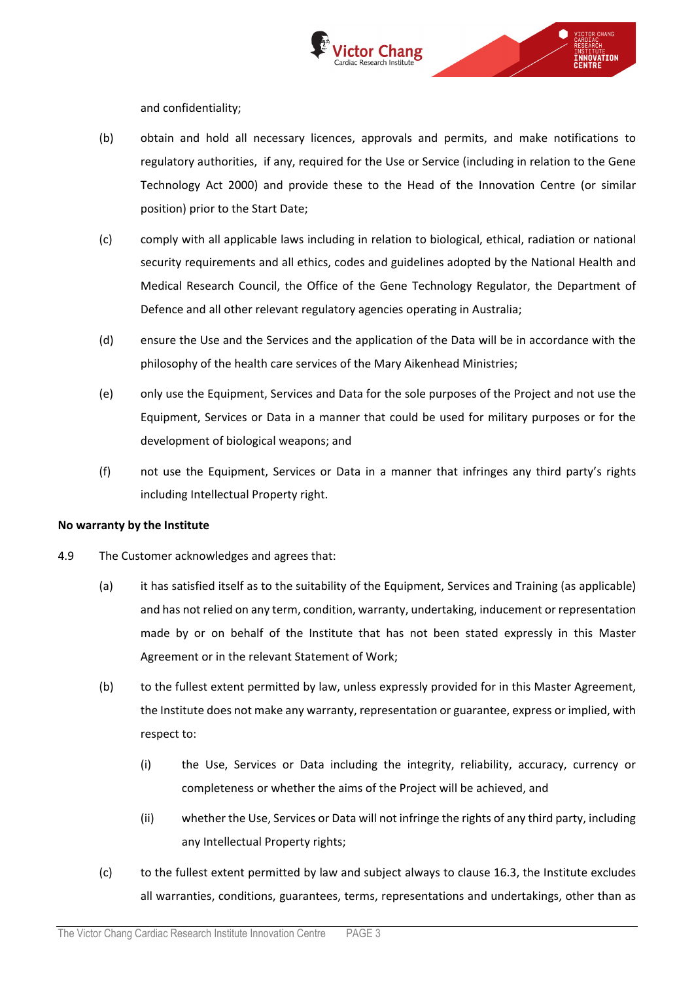

and confidentiality;

- (b) obtain and hold all necessary licences, approvals and permits, and make notifications to regulatory authorities, if any, required for the Use or Service (including in relation to the Gene Technology Act 2000) and provide these to the Head of the Innovation Centre (or similar position) prior to the Start Date;
- (c) comply with all applicable laws including in relation to biological, ethical, radiation or national security requirements and all ethics, codes and guidelines adopted by the National Health and Medical Research Council, the Office of the Gene Technology Regulator, the Department of Defence and all other relevant regulatory agencies operating in Australia;
- (d) ensure the Use and the Services and the application of the Data will be in accordance with the philosophy of the health care services of the Mary Aikenhead Ministries;
- (e) only use the Equipment, Services and Data for the sole purposes of the Project and not use the Equipment, Services or Data in a manner that could be used for military purposes or for the development of biological weapons; and
- (f) not use the Equipment, Services or Data in a manner that infringes any third party's rights including Intellectual Property right.

## **No warranty by the Institute**

- 4.9 The Customer acknowledges and agrees that:
	- (a) it has satisfied itself as to the suitability of the Equipment, Services and Training (as applicable) and has not relied on any term, condition, warranty, undertaking, inducement or representation made by or on behalf of the Institute that has not been stated expressly in this Master Agreement or in the relevant Statement of Work;
	- (b) to the fullest extent permitted by law, unless expressly provided for in this Master Agreement, the Institute does not make any warranty, representation or guarantee, express or implied, with respect to:
		- (i) the Use, Services or Data including the integrity, reliability, accuracy, currency or completeness or whether the aims of the Project will be achieved, and
		- (ii) whether the Use, Services or Data will not infringe the rights of any third party, including any Intellectual Property rights;
	- (c) to the fullest extent permitted by law and subject always to clause [16.3,](#page-9-0) the Institute excludes all warranties, conditions, guarantees, terms, representations and undertakings, other than as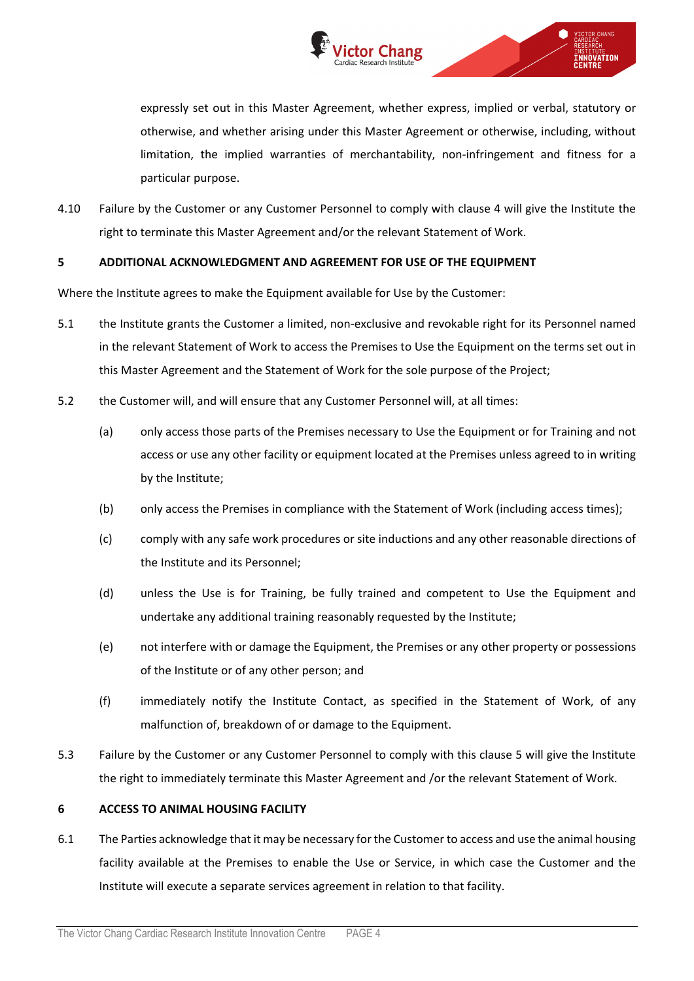

expressly set out in this Master Agreement, whether express, implied or verbal, statutory or otherwise, and whether arising under this Master Agreement or otherwise, including, without limitation, the implied warranties of merchantability, non-infringement and fitness for a particular purpose.

4.10 Failure by the Customer or any Customer Personnel to comply with clause 4 will give the Institute the right to terminate this Master Agreement and/or the relevant Statement of Work.

## **5 ADDITIONAL ACKNOWLEDGMENT AND AGREEMENT FOR USE OF THE EQUIPMENT**

Where the Institute agrees to make the Equipment available for Use by the Customer:

- 5.1 the Institute grants the Customer a limited, non-exclusive and revokable right for its Personnel named in the relevant Statement of Work to access the Premises to Use the Equipment on the terms set out in this Master Agreement and the Statement of Work for the sole purpose of the Project;
- 5.2 the Customer will, and will ensure that any Customer Personnel will, at all times:
	- (a) only access those parts of the Premises necessary to Use the Equipment or for Training and not access or use any other facility or equipment located at the Premises unless agreed to in writing by the Institute;
	- (b) only access the Premises in compliance with the Statement of Work (including access times);
	- (c) comply with any safe work procedures or site inductions and any other reasonable directions of the Institute and its Personnel;
	- (d) unless the Use is for Training, be fully trained and competent to Use the Equipment and undertake any additional training reasonably requested by the Institute;
	- (e) not interfere with or damage the Equipment, the Premises or any other property or possessions of the Institute or of any other person; and
	- (f) immediately notify the Institute Contact, as specified in the Statement of Work, of any malfunction of, breakdown of or damage to the Equipment.
- 5.3 Failure by the Customer or any Customer Personnel to comply with this clause 5 will give the Institute the right to immediately terminate this Master Agreement and /or the relevant Statement of Work.

## **6 ACCESS TO ANIMAL HOUSING FACILITY**

6.1 The Parties acknowledge that it may be necessary for the Customer to access and use the animal housing facility available at the Premises to enable the Use or Service, in which case the Customer and the Institute will execute a separate services agreement in relation to that facility.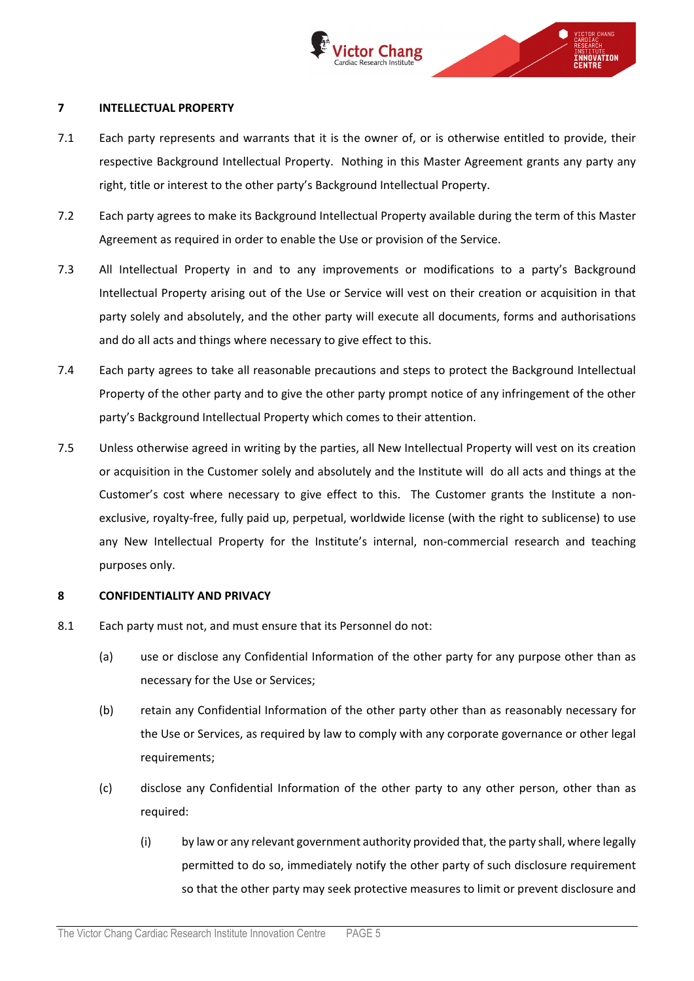

#### <span id="page-4-1"></span>**7 INTELLECTUAL PROPERTY**

- 7.1 Each party represents and warrants that it is the owner of, or is otherwise entitled to provide, their respective Background Intellectual Property. Nothing in this Master Agreement grants any party any right, title or interest to the other party's Background Intellectual Property.
- 7.2 Each party agrees to make its Background Intellectual Property available during the term of this Master Agreement as required in order to enable the Use or provision of the Service.
- 7.3 All Intellectual Property in and to any improvements or modifications to a party's Background Intellectual Property arising out of the Use or Service will vest on their creation or acquisition in that party solely and absolutely, and the other party will execute all documents, forms and authorisations and do all acts and things where necessary to give effect to this.
- 7.4 Each party agrees to take all reasonable precautions and steps to protect the Background Intellectual Property of the other party and to give the other party prompt notice of any infringement of the other party's Background Intellectual Property which comes to their attention.
- 7.5 Unless otherwise agreed in writing by the parties, all New Intellectual Property will vest on its creation or acquisition in the Customer solely and absolutely and the Institute will do all acts and things at the Customer's cost where necessary to give effect to this. The Customer grants the Institute a nonexclusive, royalty-free, fully paid up, perpetual, worldwide license (with the right to sublicense) to use any New Intellectual Property for the Institute's internal, non-commercial research and teaching purposes only.

## **8 CONFIDENTIALITY AND PRIVACY**

- <span id="page-4-0"></span>8.1 Each party must not, and must ensure that its Personnel do not:
	- (a) use or disclose any Confidential Information of the other party for any purpose other than as necessary for the Use or Services;
	- (b) retain any Confidential Information of the other party other than as reasonably necessary for the Use or Services, as required by law to comply with any corporate governance or other legal requirements;
	- (c) disclose any Confidential Information of the other party to any other person, other than as required:
		- (i) by law or any relevant government authority provided that, the party shall, where legally permitted to do so, immediately notify the other party of such disclosure requirement so that the other party may seek protective measures to limit or prevent disclosure and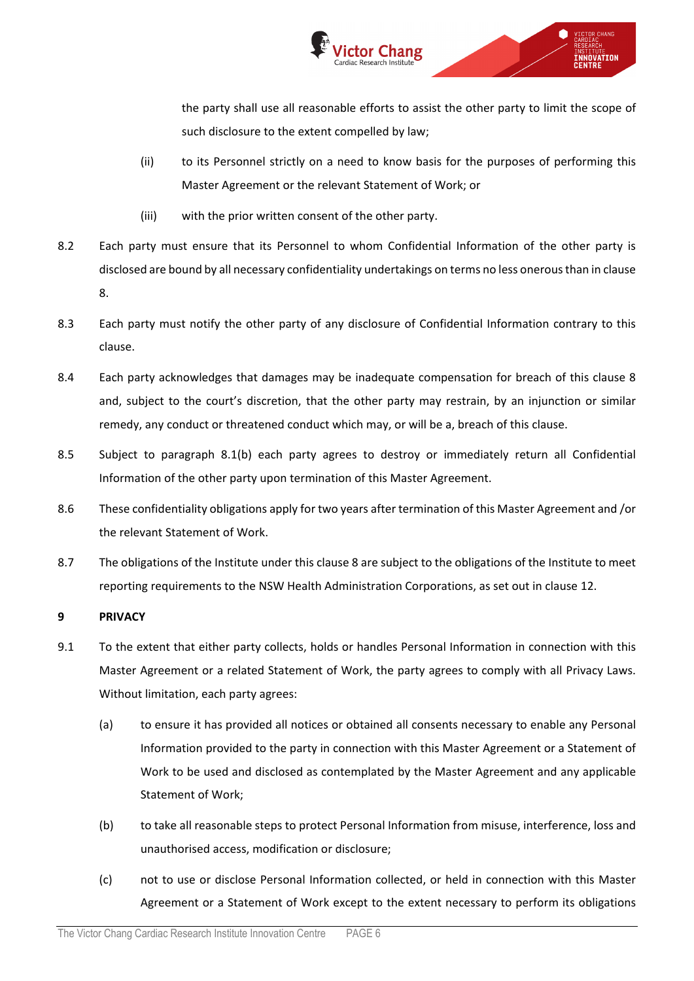

the party shall use all reasonable efforts to assist the other party to limit the scope of such disclosure to the extent compelled by law;

- (ii) to its Personnel strictly on a need to know basis for the purposes of performing this Master Agreement or the relevant Statement of Work; or
- (iii) with the prior written consent of the other party.
- 8.2 Each party must ensure that its Personnel to whom Confidential Information of the other party is disclosed are bound by all necessary confidentiality undertakings on terms no less onerous than in clause 8.
- 8.3 Each party must notify the other party of any disclosure of Confidential Information contrary to this clause.
- 8.4 Each party acknowledges that damages may be inadequate compensation for breach of this clause 8 and, subject to the court's discretion, that the other party may restrain, by an injunction or similar remedy, any conduct or threatened conduct which may, or will be a, breach of this clause.
- 8.5 Subject to paragraph [8.1\(b\)](#page-4-0) each party agrees to destroy or immediately return all Confidential Information of the other party upon termination of this Master Agreement.
- 8.6 These confidentiality obligations apply for two years after termination of this Master Agreement and /or the relevant Statement of Work.
- 8.7 The obligations of the Institute under this clause 8 are subject to the obligations of the Institute to meet reporting requirements to the NSW Health Administration Corporations, as set out in clause [12.](#page-7-0)

## <span id="page-5-0"></span>**9 PRIVACY**

- 9.1 To the extent that either party collects, holds or handles Personal Information in connection with this Master Agreement or a related Statement of Work, the party agrees to comply with all Privacy Laws. Without limitation, each party agrees:
	- (a) to ensure it has provided all notices or obtained all consents necessary to enable any Personal Information provided to the party in connection with this Master Agreement or a Statement of Work to be used and disclosed as contemplated by the Master Agreement and any applicable Statement of Work;
	- (b) to take all reasonable steps to protect Personal Information from misuse, interference, loss and unauthorised access, modification or disclosure;
	- (c) not to use or disclose Personal Information collected, or held in connection with this Master Agreement or a Statement of Work except to the extent necessary to perform its obligations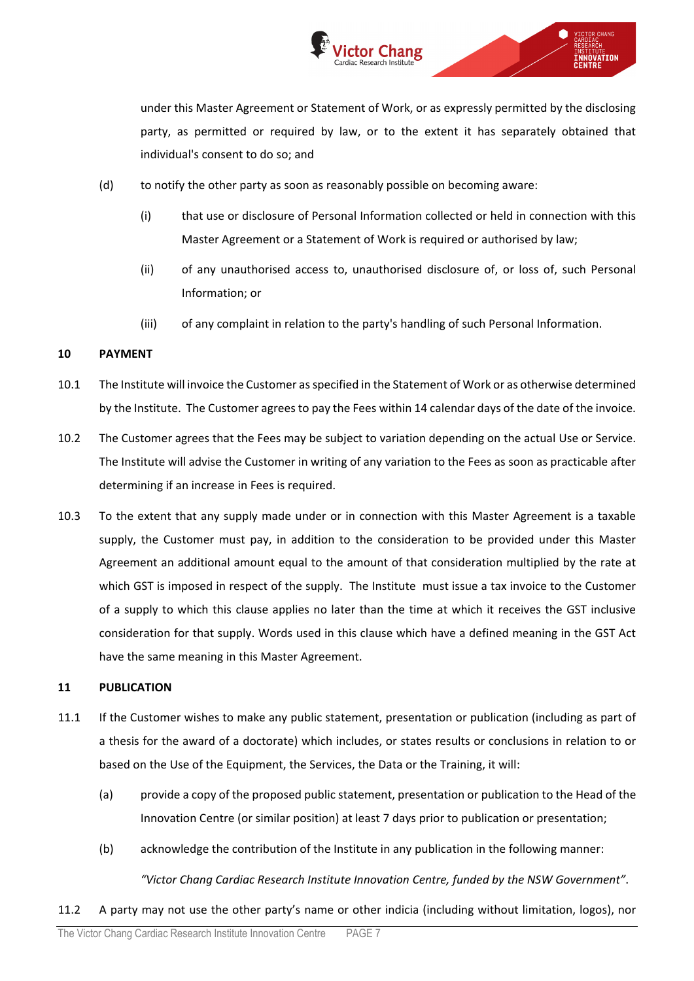

under this Master Agreement or Statement of Work, or as expressly permitted by the disclosing party, as permitted or required by law, or to the extent it has separately obtained that individual's consent to do so; and

VICTOR CHANG

INSTITUIE<br>E**nnovation** 

- (d) to notify the other party as soon as reasonably possible on becoming aware:
	- (i) that use or disclosure of Personal Information collected or held in connection with this Master Agreement or a Statement of Work is required or authorised by law;
	- (ii) of any unauthorised access to, unauthorised disclosure of, or loss of, such Personal Information; or
	- (iii) of any complaint in relation to the party's handling of such Personal Information.

## **10 PAYMENT**

- 10.1 The Institute will invoice the Customer as specified in the Statement of Work or as otherwise determined by the Institute. The Customer agrees to pay the Fees within 14 calendar days of the date of the invoice.
- 10.2 The Customer agrees that the Fees may be subject to variation depending on the actual Use or Service. The Institute will advise the Customer in writing of any variation to the Fees as soon as practicable after determining if an increase in Fees is required.
- 10.3 To the extent that any supply made under or in connection with this Master Agreement is a taxable supply, the Customer must pay, in addition to the consideration to be provided under this Master Agreement an additional amount equal to the amount of that consideration multiplied by the rate at which GST is imposed in respect of the supply. The Institute must issue a tax invoice to the Customer of a supply to which this clause applies no later than the time at which it receives the GST inclusive consideration for that supply. Words used in this clause which have a defined meaning in the GST Act have the same meaning in this Master Agreement.

## <span id="page-6-0"></span>**11 PUBLICATION**

- 11.1 If the Customer wishes to make any public statement, presentation or publication (including as part of a thesis for the award of a doctorate) which includes, or states results or conclusions in relation to or based on the Use of the Equipment, the Services, the Data or the Training, it will:
	- (a) provide a copy of the proposed public statement, presentation or publication to the Head of the Innovation Centre (or similar position) at least 7 days prior to publication or presentation;
	- (b) acknowledge the contribution of the Institute in any publication in the following manner: *"Victor Chang Cardiac Research Institute Innovation Centre, funded by the NSW Government"*.
- 11.2 A party may not use the other party's name or other indicia (including without limitation, logos), nor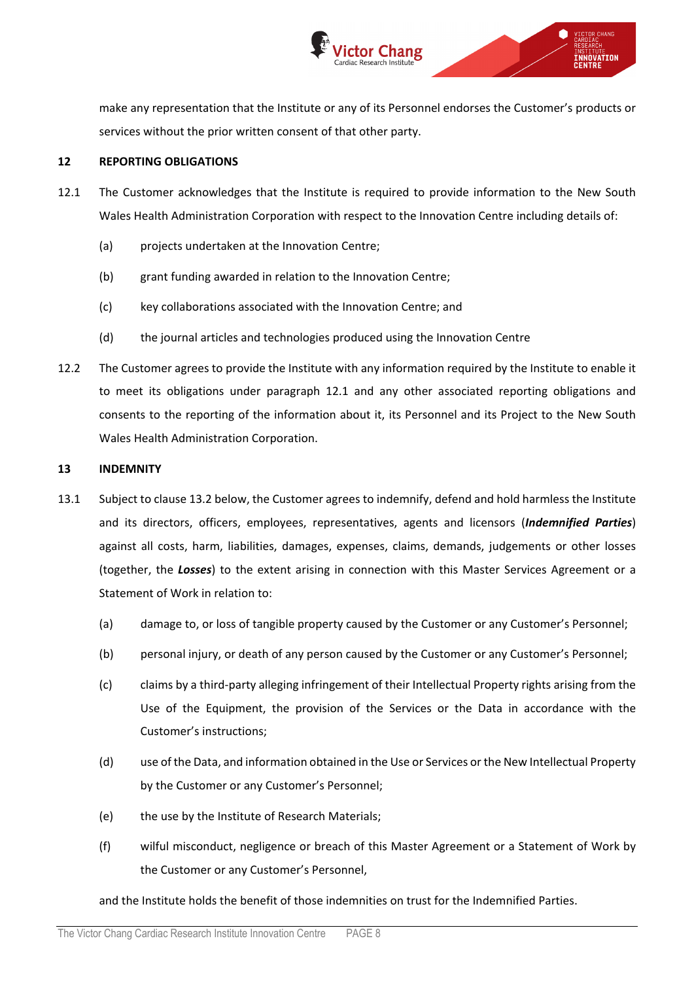

make any representation that the Institute or any of its Personnel endorses the Customer's products or services without the prior written consent of that other party.

#### <span id="page-7-0"></span>**12 REPORTING OBLIGATIONS**

- <span id="page-7-1"></span>12.1 The Customer acknowledges that the Institute is required to provide information to the New South Wales Health Administration Corporation with respect to the Innovation Centre including details of:
	- (a) projects undertaken at the Innovation Centre;
	- (b) grant funding awarded in relation to the Innovation Centre;
	- (c) key collaborations associated with the Innovation Centre; and
	- (d) the journal articles and technologies produced using the Innovation Centre
- 12.2 The Customer agrees to provide the Institute with any information required by the Institute to enable it to meet its obligations under paragraph [12.1](#page-7-1) and any other associated reporting obligations and consents to the reporting of the information about it, its Personnel and its Project to the New South Wales Health Administration Corporation.

#### **13 INDEMNITY**

- <span id="page-7-2"></span>13.1 Subject to clause [13.2](#page-8-0) below, the Customer agrees to indemnify, defend and hold harmless the Institute and its directors, officers, employees, representatives, agents and licensors (*Indemnified Parties*) against all costs, harm, liabilities, damages, expenses, claims, demands, judgements or other losses (together, the *Losses*) to the extent arising in connection with this Master Services Agreement or a Statement of Work in relation to:
	- (a) damage to, or loss of tangible property caused by the Customer or any Customer's Personnel;
	- (b) personal injury, or death of any person caused by the Customer or any Customer's Personnel;
	- (c) claims by a third-party alleging infringement of their Intellectual Property rights arising from the Use of the Equipment, the provision of the Services or the Data in accordance with the Customer's instructions;
	- (d) use of the Data, and information obtained in the Use or Services or the New Intellectual Property by the Customer or any Customer's Personnel;
	- (e) the use by the Institute of Research Materials;
	- (f) wilful misconduct, negligence or breach of this Master Agreement or a Statement of Work by the Customer or any Customer's Personnel,

and the Institute holds the benefit of those indemnities on trust for the Indemnified Parties.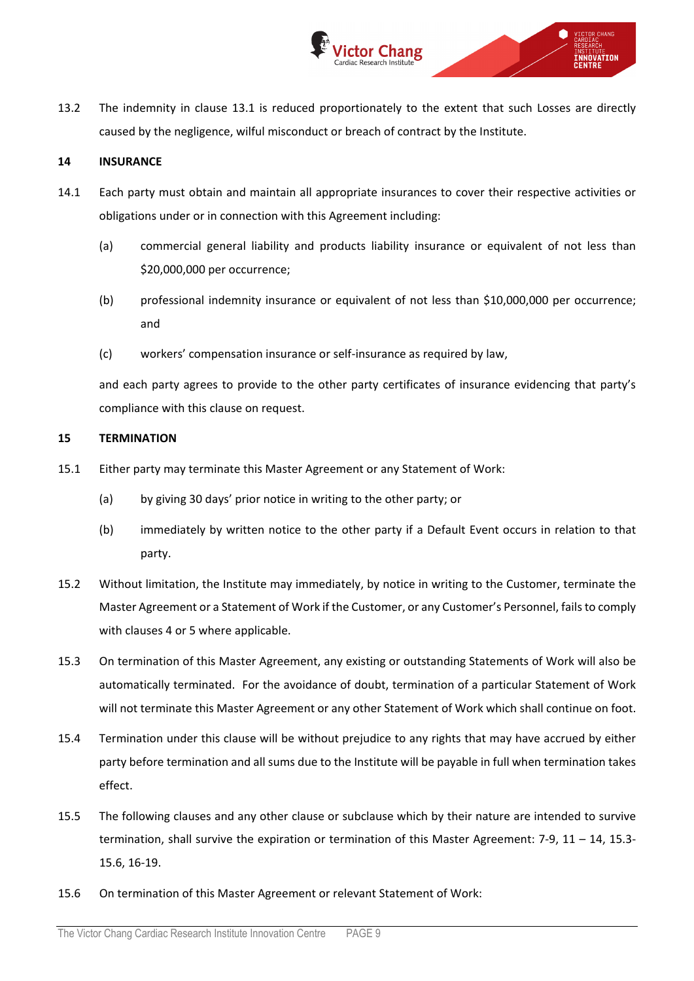

<span id="page-8-0"></span>13.2 The indemnity in clause [13.1](#page-7-2) is reduced proportionately to the extent that such Losses are directly caused by the negligence, wilful misconduct or breach of contract by the Institute.

## <span id="page-8-1"></span>**14 INSURANCE**

- 14.1 Each party must obtain and maintain all appropriate insurances to cover their respective activities or obligations under or in connection with this Agreement including:
	- (a) commercial general liability and products liability insurance or equivalent of not less than \$20,000,000 per occurrence;
	- (b) professional indemnity insurance or equivalent of not less than \$10,000,000 per occurrence; and
	- (c) workers' compensation insurance or self-insurance as required by law,

and each party agrees to provide to the other party certificates of insurance evidencing that party's compliance with this clause on request.

## **15 TERMINATION**

- 15.1 Either party may terminate this Master Agreement or any Statement of Work:
	- (a) by giving 30 days' prior notice in writing to the other party; or
	- (b) immediately by written notice to the other party if a Default Event occurs in relation to that party.
- 15.2 Without limitation, the Institute may immediately, by notice in writing to the Customer, terminate the Master Agreement or a Statement of Work if the Customer, or any Customer's Personnel, failsto comply with clauses 4 or 5 where applicable.
- <span id="page-8-2"></span>15.3 On termination of this Master Agreement, any existing or outstanding Statements of Work will also be automatically terminated. For the avoidance of doubt, termination of a particular Statement of Work will not terminate this Master Agreement or any other Statement of Work which shall continue on foot.
- 15.4 Termination under this clause will be without prejudice to any rights that may have accrued by either party before termination and all sums due to the Institute will be payable in full when termination takes effect.
- 15.5 The following clauses and any other clause or subclause which by their nature are intended to survive termination, shall survive the expiration or termination of this Master Agreement: [7-](#page-4-1)[9,](#page-5-0) [11](#page-6-0) – [14,](#page-8-1) [15.3-](#page-8-2) [15.6,](#page-8-3) [16](#page-9-1)[-19.](#page-11-0)
- <span id="page-8-3"></span>15.6 On termination of this Master Agreement or relevant Statement of Work: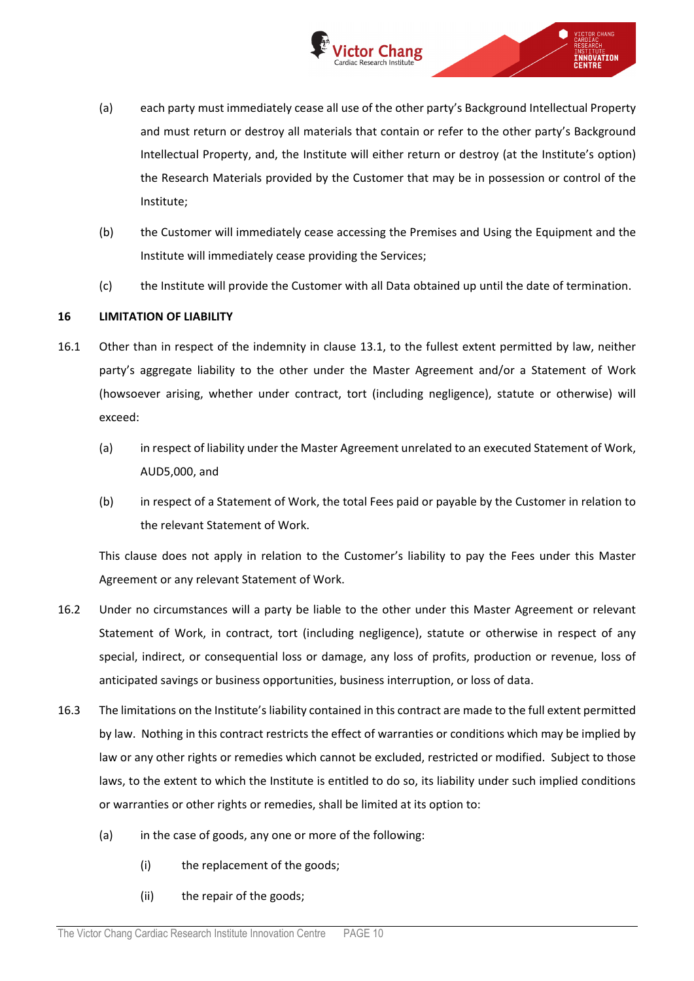

∩

VICTOR CHANG

**ENNOVATION** 

- (a) each party must immediately cease all use of the other party's Background Intellectual Property and must return or destroy all materials that contain or refer to the other party's Background Intellectual Property, and, the Institute will either return or destroy (at the Institute's option) the Research Materials provided by the Customer that may be in possession or control of the Institute;
- (b) the Customer will immediately cease accessing the Premises and Using the Equipment and the Institute will immediately cease providing the Services;
- (c) the Institute will provide the Customer with all Data obtained up until the date of termination.

## <span id="page-9-1"></span>**16 LIMITATION OF LIABILITY**

- 16.1 Other than in respect of the indemnity in clause [13.1,](#page-7-2) to the fullest extent permitted by law, neither party's aggregate liability to the other under the Master Agreement and/or a Statement of Work (howsoever arising, whether under contract, tort (including negligence), statute or otherwise) will exceed:
	- (a) in respect of liability under the Master Agreement unrelated to an executed Statement of Work, AUD5,000, and
	- (b) in respect of a Statement of Work, the total Fees paid or payable by the Customer in relation to the relevant Statement of Work.

This clause does not apply in relation to the Customer's liability to pay the Fees under this Master Agreement or any relevant Statement of Work.

- 16.2 Under no circumstances will a party be liable to the other under this Master Agreement or relevant Statement of Work, in contract, tort (including negligence), statute or otherwise in respect of any special, indirect, or consequential loss or damage, any loss of profits, production or revenue, loss of anticipated savings or business opportunities, business interruption, or loss of data.
- <span id="page-9-0"></span>16.3 The limitations on the Institute's liability contained in this contract are made to the full extent permitted by law. Nothing in this contract restricts the effect of warranties or conditions which may be implied by law or any other rights or remedies which cannot be excluded, restricted or modified. Subject to those laws, to the extent to which the Institute is entitled to do so, its liability under such implied conditions or warranties or other rights or remedies, shall be limited at its option to:
	- (a) in the case of goods, any one or more of the following:
		- (i) the replacement of the goods;
		- (ii) the repair of the goods;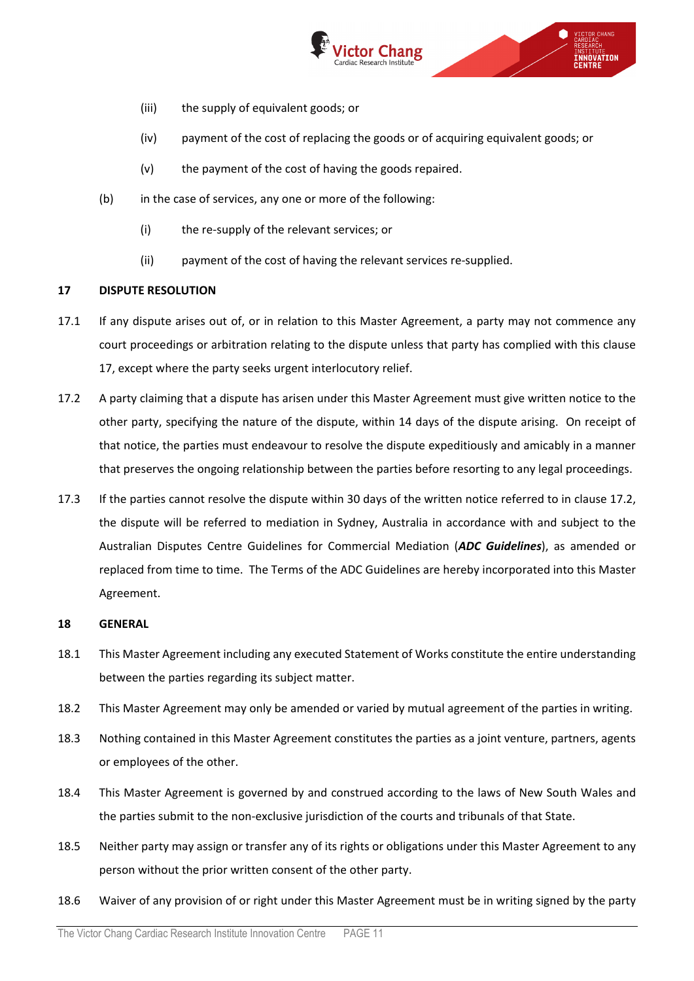

- (iii) the supply of equivalent goods; or
- (iv) payment of the cost of replacing the goods or of acquiring equivalent goods; or
- (v) the payment of the cost of having the goods repaired.
- (b) in the case of services, any one or more of the following:
	- (i) the re-supply of the relevant services; or
	- (ii) payment of the cost of having the relevant services re-supplied.

## <span id="page-10-0"></span>**17 DISPUTE RESOLUTION**

- 17.1 If any dispute arises out of, or in relation to this Master Agreement, a party may not commence any court proceedings or arbitration relating to the dispute unless that party has complied with this clause [17,](#page-10-0) except where the party seeks urgent interlocutory relief.
- <span id="page-10-1"></span>17.2 A party claiming that a dispute has arisen under this Master Agreement must give written notice to the other party, specifying the nature of the dispute, within 14 days of the dispute arising. On receipt of that notice, the parties must endeavour to resolve the dispute expeditiously and amicably in a manner that preserves the ongoing relationship between the parties before resorting to any legal proceedings.
- 17.3 If the parties cannot resolve the dispute within 30 days of the written notice referred to in clause [17.2,](#page-10-1) the dispute will be referred to mediation in Sydney, Australia in accordance with and subject to the Australian Disputes Centre Guidelines for Commercial Mediation (*ADC Guidelines*), as amended or replaced from time to time. The Terms of the ADC Guidelines are hereby incorporated into this Master Agreement.

## **18 GENERAL**

- 18.1 This Master Agreement including any executed Statement of Works constitute the entire understanding between the parties regarding its subject matter.
- 18.2 This Master Agreement may only be amended or varied by mutual agreement of the parties in writing.
- 18.3 Nothing contained in this Master Agreement constitutes the parties as a joint venture, partners, agents or employees of the other.
- 18.4 This Master Agreement is governed by and construed according to the laws of New South Wales and the parties submit to the non-exclusive jurisdiction of the courts and tribunals of that State.
- 18.5 Neither party may assign or transfer any of its rights or obligations under this Master Agreement to any person without the prior written consent of the other party.
- 18.6 Waiver of any provision of or right under this Master Agreement must be in writing signed by the party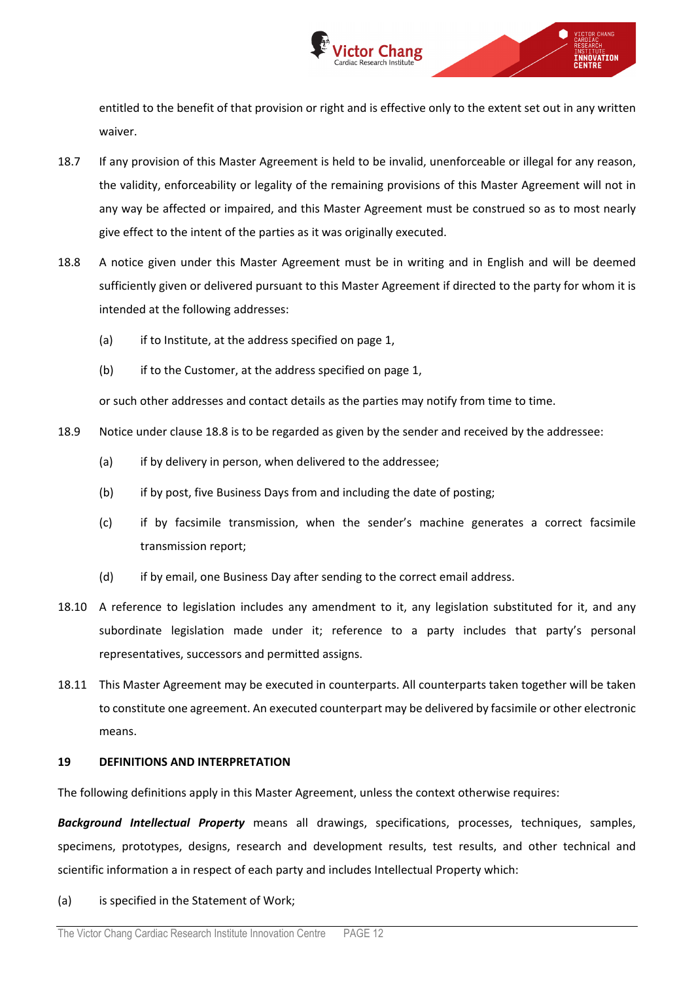

entitled to the benefit of that provision or right and is effective only to the extent set out in any written waiver.

- 18.7 If any provision of this Master Agreement is held to be invalid, unenforceable or illegal for any reason, the validity, enforceability or legality of the remaining provisions of this Master Agreement will not in any way be affected or impaired, and this Master Agreement must be construed so as to most nearly give effect to the intent of the parties as it was originally executed.
- <span id="page-11-1"></span>18.8 A notice given under this Master Agreement must be in writing and in English and will be deemed sufficiently given or delivered pursuant to this Master Agreement if directed to the party for whom it is intended at the following addresses:
	- (a) if to Institute, at the address specified on page 1,
	- (b) if to the Customer, at the address specified on page 1,

or such other addresses and contact details as the parties may notify from time to time.

- 18.9 Notice under clause [18.8](#page-11-1) is to be regarded as given by the sender and received by the addressee:
	- (a) if by delivery in person, when delivered to the addressee;
	- (b) if by post, five Business Days from and including the date of posting;
	- (c) if by facsimile transmission, when the sender's machine generates a correct facsimile transmission report;
	- (d) if by email, one Business Day after sending to the correct email address.
- 18.10 A reference to legislation includes any amendment to it, any legislation substituted for it, and any subordinate legislation made under it; reference to a party includes that party's personal representatives, successors and permitted assigns.
- 18.11 This Master Agreement may be executed in counterparts. All counterparts taken together will be taken to constitute one agreement. An executed counterpart may be delivered by facsimile or other electronic means.

## <span id="page-11-0"></span>**19 DEFINITIONS AND INTERPRETATION**

The following definitions apply in this Master Agreement, unless the context otherwise requires:

*Background Intellectual Property* means all drawings, specifications, processes, techniques, samples, specimens, prototypes, designs, research and development results, test results, and other technical and scientific information a in respect of each party and includes Intellectual Property which:

(a) is specified in the Statement of Work;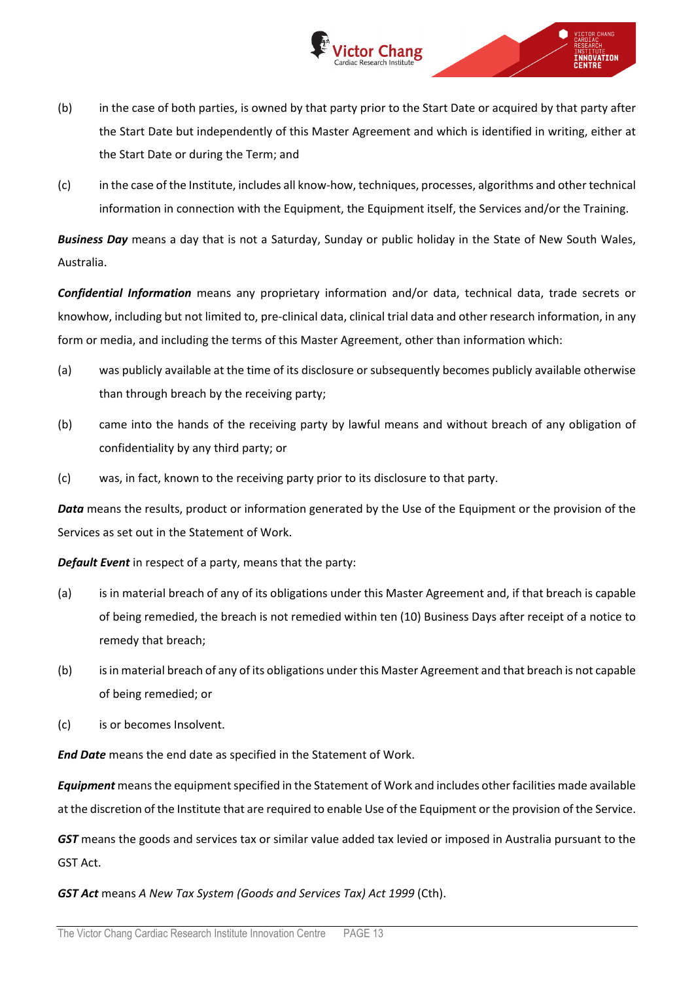(b) in the case of both parties, is owned by that party prior to the Start Date or acquired by that party after the Start Date but independently of this Master Agreement and which is identified in writing, either at the Start Date or during the Term; and

ictor Chang

**ENNOVATION** 

(c) in the case of the Institute, includes all know-how, techniques, processes, algorithms and other technical information in connection with the Equipment, the Equipment itself, the Services and/or the Training.

*Business Day* means a day that is not a Saturday, Sunday or public holiday in the State of New South Wales, Australia.

*Confidential Information* means any proprietary information and/or data, technical data, trade secrets or knowhow, including but not limited to, pre-clinical data, clinical trial data and other research information, in any form or media, and including the terms of this Master Agreement, other than information which:

- (a) was publicly available at the time of its disclosure or subsequently becomes publicly available otherwise than through breach by the receiving party;
- (b) came into the hands of the receiving party by lawful means and without breach of any obligation of confidentiality by any third party; or
- (c) was, in fact, known to the receiving party prior to its disclosure to that party.

*Data* means the results, product or information generated by the Use of the Equipment or the provision of the Services as set out in the Statement of Work.

*Default Event* in respect of a party, means that the party:

- (a) is in material breach of any of its obligations under this Master Agreement and, if that breach is capable of being remedied, the breach is not remedied within ten (10) Business Days after receipt of a notice to remedy that breach;
- (b) is in material breach of any of its obligations under this Master Agreement and that breach is not capable of being remedied; or
- (c) is or becomes Insolvent.

*End Date* means the end date as specified in the Statement of Work.

*Equipment* means the equipment specified in the Statement of Work and includes other facilities made available at the discretion of the Institute that are required to enable Use of the Equipment or the provision of the Service.

*GST* means the goods and services tax or similar value added tax levied or imposed in Australia pursuant to the GST Act.

*GST Act* means *A New Tax System (Goods and Services Tax) Act 1999* (Cth).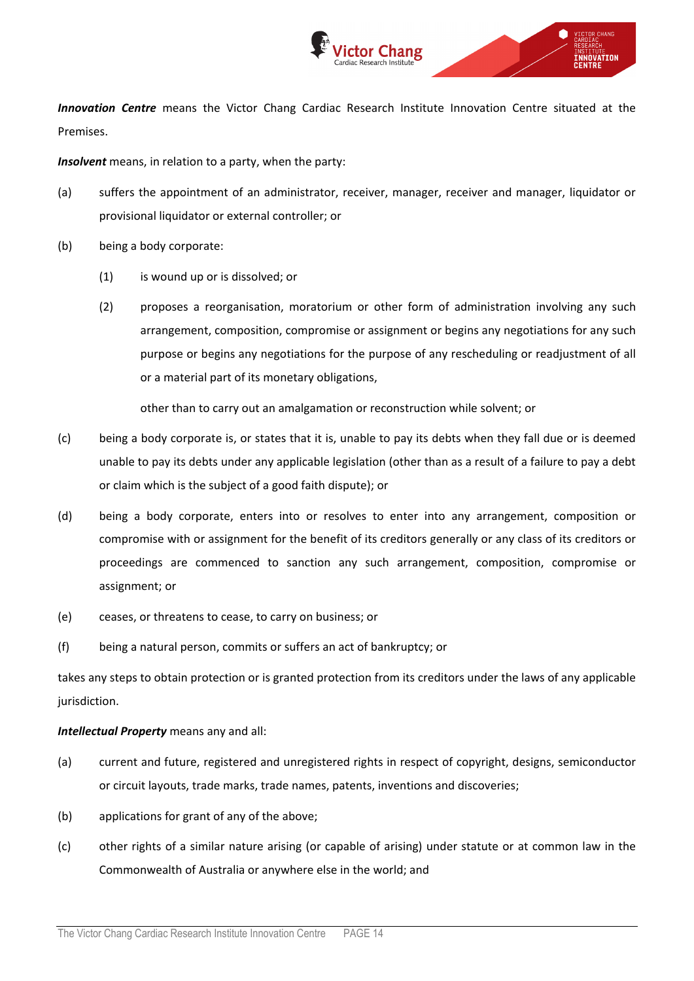

*Innovation Centre* means the Victor Chang Cardiac Research Institute Innovation Centre situated at the Premises.

*Insolvent* means, in relation to a party, when the party:

- (a) suffers the appointment of an administrator, receiver, manager, receiver and manager, liquidator or provisional liquidator or external controller; or
- (b) being a body corporate:
	- (1) is wound up or is dissolved; or
	- (2) proposes a reorganisation, moratorium or other form of administration involving any such arrangement, composition, compromise or assignment or begins any negotiations for any such purpose or begins any negotiations for the purpose of any rescheduling or readjustment of all or a material part of its monetary obligations,

other than to carry out an amalgamation or reconstruction while solvent; or

- (c) being a body corporate is, or states that it is, unable to pay its debts when they fall due or is deemed unable to pay its debts under any applicable legislation (other than as a result of a failure to pay a debt or claim which is the subject of a good faith dispute); or
- (d) being a body corporate, enters into or resolves to enter into any arrangement, composition or compromise with or assignment for the benefit of its creditors generally or any class of its creditors or proceedings are commenced to sanction any such arrangement, composition, compromise or assignment; or
- (e) ceases, or threatens to cease, to carry on business; or
- (f) being a natural person, commits or suffers an act of bankruptcy; or

takes any steps to obtain protection or is granted protection from its creditors under the laws of any applicable jurisdiction.

## *Intellectual Property* means any and all:

- (a) current and future, registered and unregistered rights in respect of copyright, designs, semiconductor or circuit layouts, trade marks, trade names, patents, inventions and discoveries;
- (b) applications for grant of any of the above;
- (c) other rights of a similar nature arising (or capable of arising) under statute or at common law in the Commonwealth of Australia or anywhere else in the world; and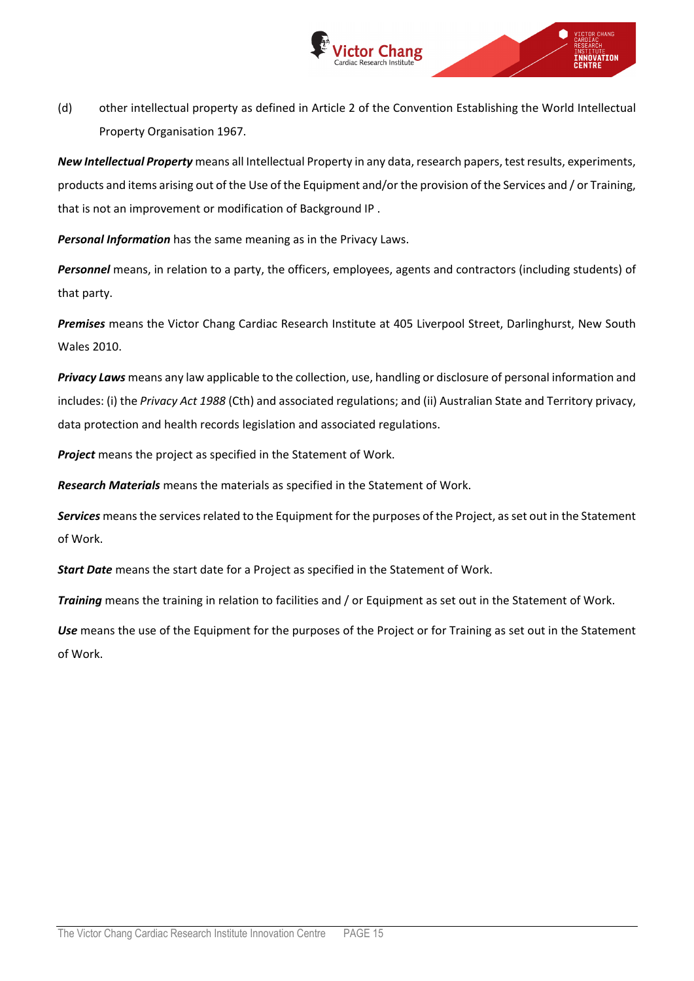

(d) other intellectual property as defined in Article 2 of the Convention Establishing the World Intellectual Property Organisation 1967.

*New Intellectual Property* means all Intellectual Property in any data, research papers, test results, experiments, products and items arising out of the Use of the Equipment and/or the provision of the Services and / or Training, that is not an improvement or modification of Background IP .

*Personal Information* has the same meaning as in the Privacy Laws.

*Personnel* means, in relation to a party, the officers, employees, agents and contractors (including students) of that party.

*Premises* means the Victor Chang Cardiac Research Institute at 405 Liverpool Street, Darlinghurst, New South Wales 2010.

*Privacy Laws* means any law applicable to the collection, use, handling or disclosure of personal information and includes: (i) the *Privacy Act 1988* (Cth) and associated regulations; and (ii) Australian State and Territory privacy, data protection and health records legislation and associated regulations.

*Project* means the project as specified in the Statement of Work.

*Research Materials* means the materials as specified in the Statement of Work.

*Services* means the services related to the Equipment for the purposes of the Project, as set out in the Statement of Work.

*Start Date* means the start date for a Project as specified in the Statement of Work.

*Training* means the training in relation to facilities and / or Equipment as set out in the Statement of Work.

*Use* means the use of the Equipment for the purposes of the Project or for Training as set out in the Statement of Work.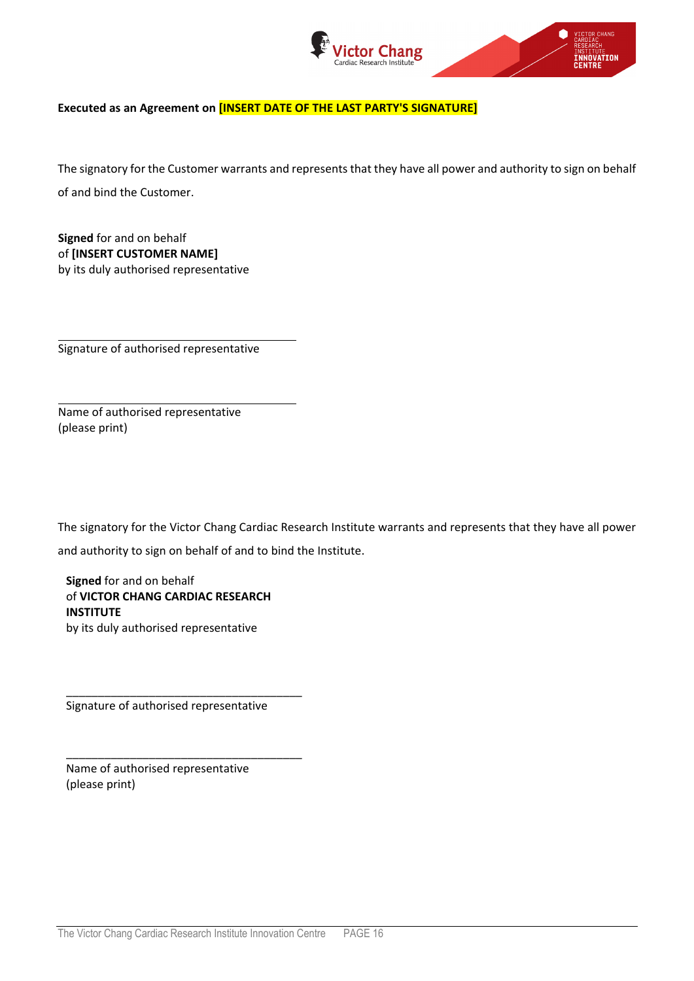

**CTOR CHANG** 

**Executed as an Agreement on [INSERT DATE OF THE LAST PARTY'S SIGNATURE]**

The signatory for the Customer warrants and represents that they have all power and authority to sign on behalf of and bind the Customer.

**Signed** for and on behalf of **[INSERT CUSTOMER NAME]** by its duly authorised representative

Signature of authorised representative

Name of authorised representative (please print)

The signatory for the Victor Chang Cardiac Research Institute warrants and represents that they have all power and authority to sign on behalf of and to bind the Institute.

**Signed** for and on behalf of **VICTOR CHANG CARDIAC RESEARCH INSTITUTE** by its duly authorised representative

Signature of authorised representative

\_\_\_\_\_\_\_\_\_\_\_\_\_\_\_\_\_\_\_\_\_\_\_\_\_\_\_\_\_\_\_\_\_\_\_\_\_

\_\_\_\_\_\_\_\_\_\_\_\_\_\_\_\_\_\_\_\_\_\_\_\_\_\_\_\_\_\_\_\_\_\_\_\_\_

Name of authorised representative (please print)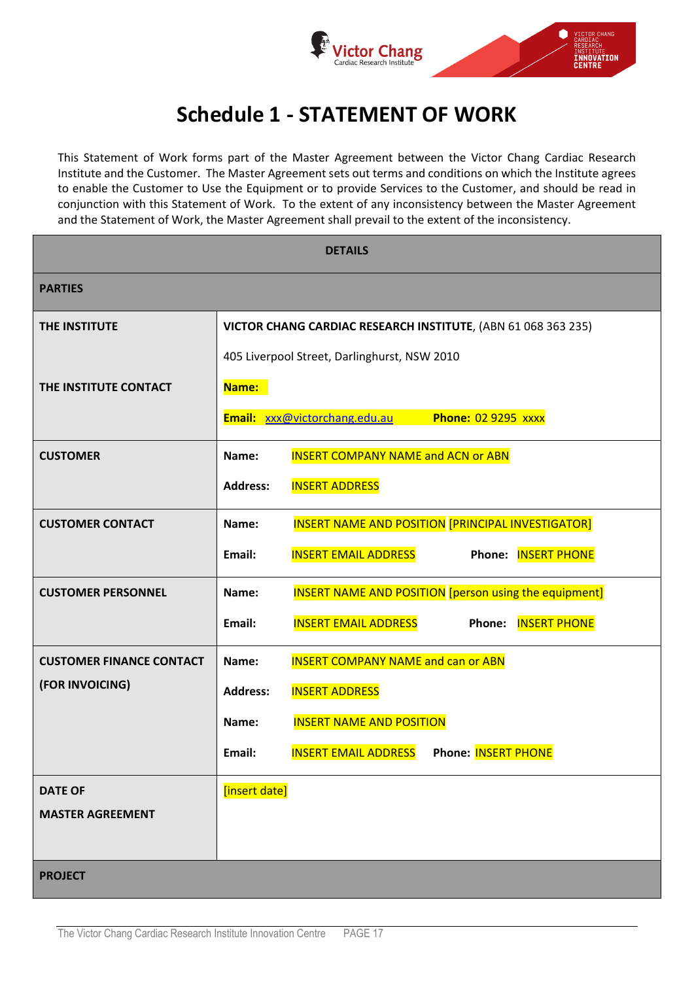

# **Schedule 1 - STATEMENT OF WORK**

This Statement of Work forms part of the Master Agreement between the Victor Chang Cardiac Research Institute and the Customer. The Master Agreement sets out terms and conditions on which the Institute agrees to enable the Customer to Use the Equipment or to provide Services to the Customer, and should be read in conjunction with this Statement of Work. To the extent of any inconsistency between the Master Agreement and the Statement of Work, the Master Agreement shall prevail to the extent of the inconsistency.

| <b>DETAILS</b>                  |                                                                        |  |
|---------------------------------|------------------------------------------------------------------------|--|
| <b>PARTIES</b>                  |                                                                        |  |
| THE INSTITUTE                   | VICTOR CHANG CARDIAC RESEARCH INSTITUTE, (ABN 61 068 363 235)          |  |
|                                 | 405 Liverpool Street, Darlinghurst, NSW 2010                           |  |
| THE INSTITUTE CONTACT           | Name:                                                                  |  |
|                                 | <b>Phone: 02 9295 xxxx</b><br>Email: xxx@victorchang.edu.au            |  |
| <b>CUSTOMER</b>                 | <b>INSERT COMPANY NAME and ACN or ABN</b><br>Name:                     |  |
|                                 | <b>INSERT ADDRESS</b><br><b>Address:</b>                               |  |
| <b>CUSTOMER CONTACT</b>         | INSERT NAME AND POSITION [PRINCIPAL INVESTIGATOR]<br>Name:             |  |
|                                 | <b>INSERT EMAIL ADDRESS</b><br>Phone: INSERT PHONE<br>Email:           |  |
| <b>CUSTOMER PERSONNEL</b>       | <b>INSERT NAME AND POSITION</b> [person using the equipment]<br>Name:  |  |
|                                 | <b>INSERT EMAIL ADDRESS</b><br><b>INSERT PHONE</b><br>Email:<br>Phone: |  |
| <b>CUSTOMER FINANCE CONTACT</b> | <b>INSERT COMPANY NAME and can or ABN</b><br>Name:                     |  |
| (FOR INVOICING)                 | <b>INSERT ADDRESS</b><br><b>Address:</b>                               |  |
|                                 | <b>INSERT NAME AND POSITION</b><br>Name:                               |  |
|                                 | <b>Phone: INSERT PHONE</b><br><b>INSERT EMAIL ADDRESS</b><br>Email:    |  |
| <b>DATE OF</b>                  | [insert date]                                                          |  |
| <b>MASTER AGREEMENT</b>         |                                                                        |  |
|                                 |                                                                        |  |
| <b>PROJECT</b>                  |                                                                        |  |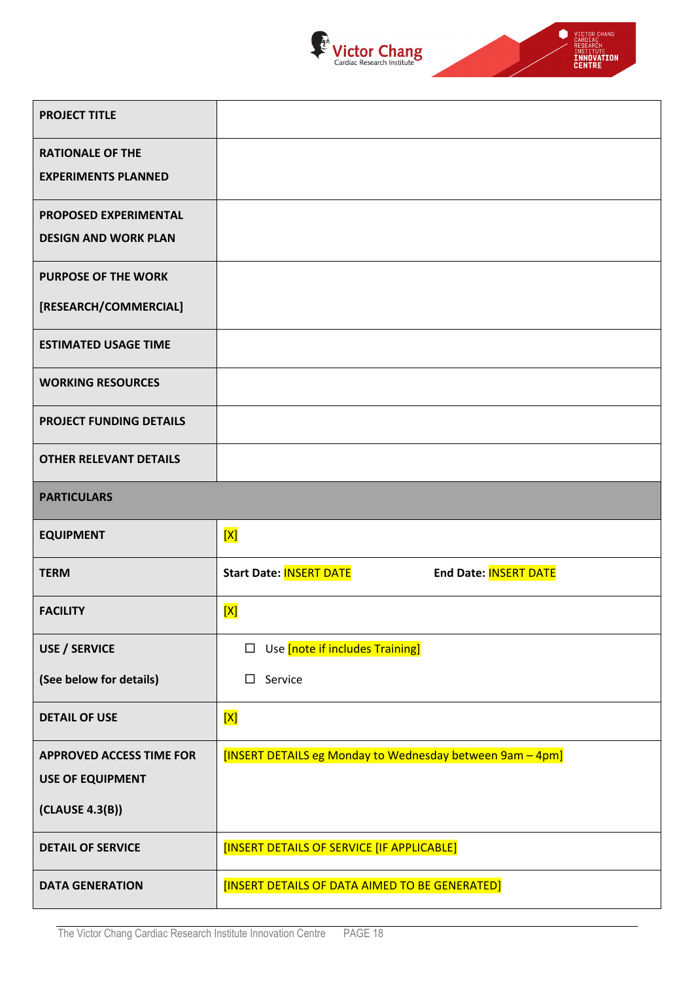



| <b>PROJECT TITLE</b>            |                                                           |
|---------------------------------|-----------------------------------------------------------|
| <b>RATIONALE OF THE</b>         |                                                           |
| <b>EXPERIMENTS PLANNED</b>      |                                                           |
| <b>PROPOSED EXPERIMENTAL</b>    |                                                           |
| <b>DESIGN AND WORK PLAN</b>     |                                                           |
| <b>PURPOSE OF THE WORK</b>      |                                                           |
| [RESEARCH/COMMERCIAL]           |                                                           |
| <b>ESTIMATED USAGE TIME</b>     |                                                           |
| <b>WORKING RESOURCES</b>        |                                                           |
| <b>PROJECT FUNDING DETAILS</b>  |                                                           |
| <b>OTHER RELEVANT DETAILS</b>   |                                                           |
| <b>PARTICULARS</b>              |                                                           |
|                                 |                                                           |
| <b>EQUIPMENT</b>                | [X]                                                       |
| <b>TERM</b>                     | <b>Start Date: INSERT DATE</b><br>End Date: INSERT DATE   |
| <b>FACILITY</b>                 | [X]                                                       |
| <b>USE / SERVICE</b>            | $\Box$ Use [note if includes Training]                    |
| (See below for details)         | Service<br>□                                              |
| <b>DETAIL OF USE</b>            | [X]                                                       |
| <b>APPROVED ACCESS TIME FOR</b> | [INSERT DETAILS eg Monday to Wednesday between 9am - 4pm] |
| <b>USE OF EQUIPMENT</b>         |                                                           |
| (CLAUSE 4.3(B))                 |                                                           |
| <b>DETAIL OF SERVICE</b>        | [INSERT DETAILS OF SERVICE [IF APPLICABLE]                |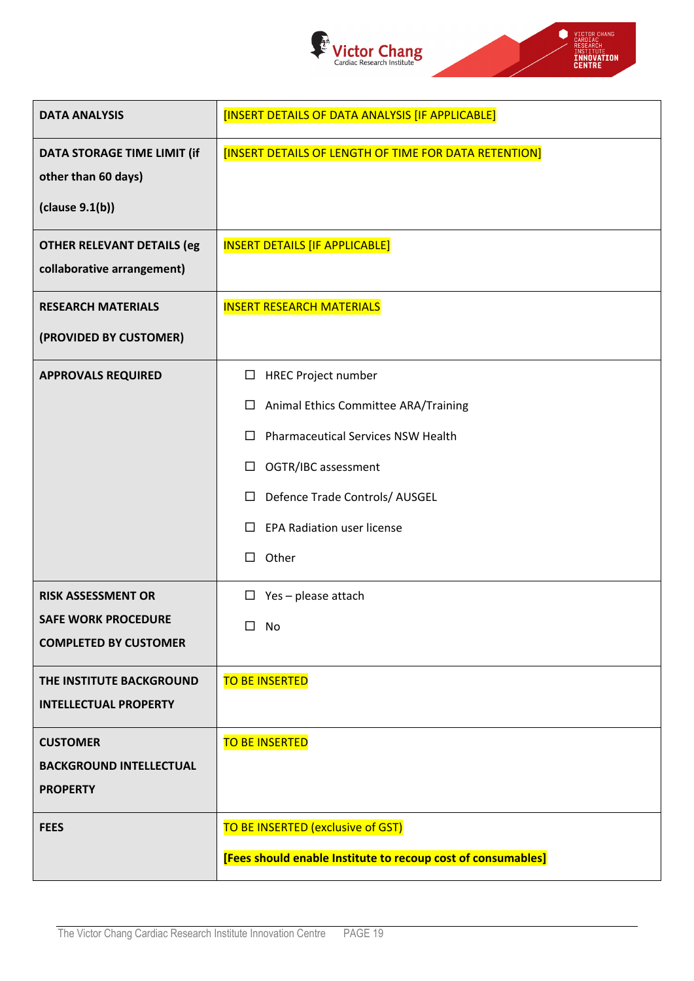



| <b>DATA ANALYSIS</b>              | [INSERT DETAILS OF DATA ANALYSIS [IF APPLICABLE]             |
|-----------------------------------|--------------------------------------------------------------|
| DATA STORAGE TIME LIMIT (if       | [INSERT DETAILS OF LENGTH OF TIME FOR DATA RETENTION]        |
| other than 60 days)               |                                                              |
| clause 9.1(b))                    |                                                              |
| <b>OTHER RELEVANT DETAILS (eg</b> | <b>INSERT DETAILS [IF APPLICABLE]</b>                        |
| collaborative arrangement)        |                                                              |
| <b>RESEARCH MATERIALS</b>         | <b>INSERT RESEARCH MATERIALS</b>                             |
| (PROVIDED BY CUSTOMER)            |                                                              |
| <b>APPROVALS REQUIRED</b>         | □ HREC Project number                                        |
|                                   | Animal Ethics Committee ARA/Training<br>□                    |
|                                   | <b>Pharmaceutical Services NSW Health</b><br>□               |
|                                   | OGTR/IBC assessment<br>□                                     |
|                                   | Defence Trade Controls/ AUSGEL<br>□                          |
|                                   | <b>EPA Radiation user license</b><br>$\Box$                  |
|                                   | Other<br>Ш                                                   |
| <b>RISK ASSESSMENT OR</b>         | $\Box$ Yes - please attach                                   |
| <b>SAFE WORK PROCEDURE</b>        | $\Box$<br>No                                                 |
| <b>COMPLETED BY CUSTOMER</b>      |                                                              |
| THE INSTITUTE BACKGROUND          | <b>TO BE INSERTED</b>                                        |
| <b>INTELLECTUAL PROPERTY</b>      |                                                              |
| <b>CUSTOMER</b>                   | <b>TO BE INSERTED</b>                                        |
| <b>BACKGROUND INTELLECTUAL</b>    |                                                              |
| <b>PROPERTY</b>                   |                                                              |
| <b>FEES</b>                       | TO BE INSERTED (exclusive of GST)                            |
|                                   | [Fees should enable Institute to recoup cost of consumables] |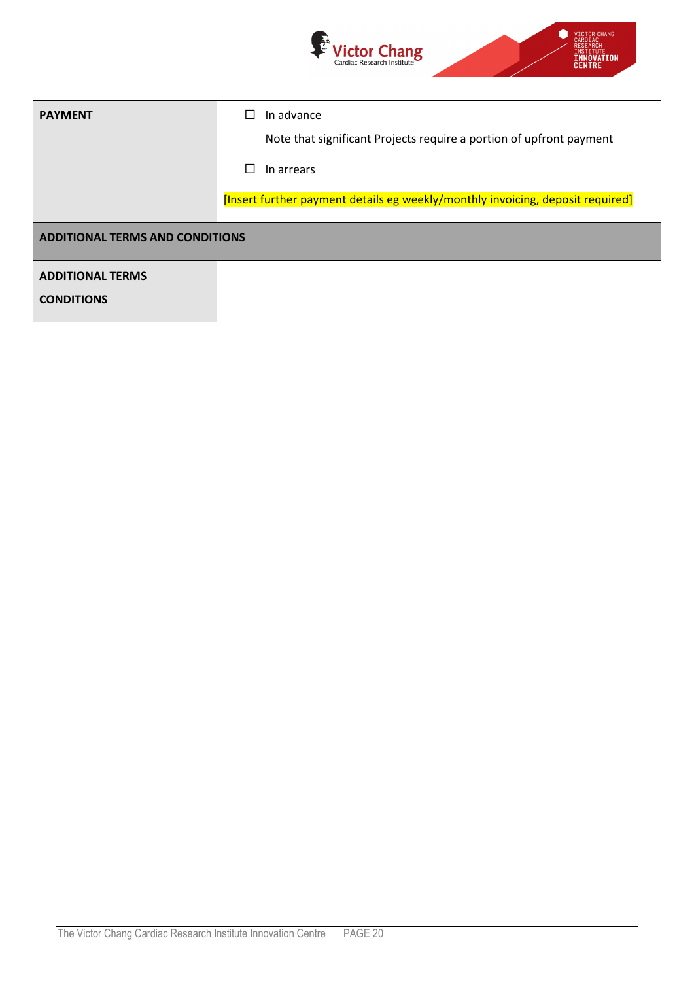

| <b>PAYMENT</b>                         | In advance                                                                     |
|----------------------------------------|--------------------------------------------------------------------------------|
|                                        | Note that significant Projects require a portion of upfront payment            |
|                                        | In arrears                                                                     |
|                                        | [Insert further payment details eg weekly/monthly invoicing, deposit required] |
| <b>ADDITIONAL TERMS AND CONDITIONS</b> |                                                                                |
| <b>ADDITIONAL TERMS</b>                |                                                                                |
| <b>CONDITIONS</b>                      |                                                                                |